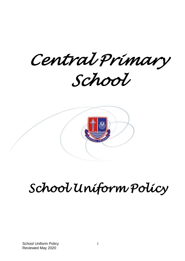*Central Primary School* 



# *School Uniform Policy*

School Uniform Policy Reviewed May 2020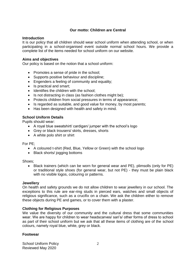# **Our motto: Children are Central**

# **Introduction**

It is our policy that all children should wear school uniform when attending school, or when participating in a school-organised event outside normal school hours. We provide a complete list of the items needed for school uniform on our website.

# **Aims and objectives**

Our policy is based on the notion that a school uniform:

- Promotes a sense of pride in the school;
- Supports positive behaviour and discipline;
- Engenders a feeling of community and equality:
- Is practical and smart;
- Identifies the children with the school:
- Is not distracting in class (as fashion clothes might be);
- Protects children from social pressures in terms of appearance;
- Is regarded as suitable, and good value for money, by most parents;
- Has been designed with health and safety in mind.

# **School Uniform Details**

Pupils should wear:

- A royal blue sweatshirt/ cardigan/ jumper with the school's logo
- Grey or black trousers/ skirts, dresses, shorts
- A white polo shirt or shirt

For PE;

- A coloured t-shirt (Red, Blue, Yellow or Green) with the school logo
- Black shorts/ jogging bottoms

Shoes;

 Black trainers (which can be worn for general wear and PE), plimsolls (only for PE) or traditional style shoes (for general wear, but not PE) - they must be plain black with no visible logos, colouring or patterns.

# **Jewellery**

On health and safety grounds we do not allow children to wear jewellery in our school. The exceptions to this rule are ear-ring studs in pierced ears, watches and small objects of religious significance, such as a crucifix on a chain. We ask the children either to remove these objects during PE and games, or to cover them with a plaster.

# **Clothing for Religious Purposes**

We value the diversity of our community and the cultural dress that some communities wear. We are happy for children to wear headscarves/ sari's/ other forms of dress to school as part of their school uniform but we ask that all these items of clothing are of the school colours, namely royal blue, white, grey or black.

# **Footwear**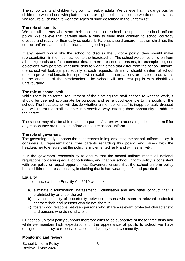The school wants all children to grow into healthy adults. We believe that it is dangerous for children to wear shoes with platform soles or high heels in school, so we do not allow this. We require all children to wear the types of shoe described in the uniform list.

#### **The role of parents**

We ask all parents who send their children to our school to support the school uniform policy. We believe that parents have a duty to send their children to school correctly dressed and ready for their daily schoolwork. Parents should ensure that their child has the correct uniform, and that it is clean and in good repair.

If any parent would like the school to discuss the uniform policy, they should make representation, in the first instance, to the headteacher. The school welcomes children from all backgrounds and faith communities. If there are serious reasons, for example religious objections, why parents want their child to wear clothes that differ from the school uniform, the school will look sympathetically at such requests. Similarly, should an item of school uniform prove problematic for a pupil with disabilities, then parents are invited to draw this to the attention of the headteacher. The school will not treat pupils with disabilities unfavourably.

### **The role of school staff**

While there is no formal requirement of the clothing that staff choose to wear to work, it should be deemed appropriate for purpose, and set a good example to the pupils of the school. The headteacher will decide whether a member of staff is inappropriately dressed and will inform that staff member in a sensitive way, offering them opportunity to address their attire.

The school may also be able to support parents/ carers with accessing school uniform if for any reason they are unable to afford or acquire school uniform.

#### **The role of governors**

The governing body supports the headteacher in implementing the school uniform policy. It considers all representations from parents regarding this policy, and liaises with the headteacher to ensure that the policy is implemented fairly and with sensitivity.

It is the governors' responsibility to ensure that the school uniform meets all national regulations concerning equal opportunities, and that our school uniform policy is consistent with our policy on equal opportunities. Governors ensure that the school uniform policy helps children to dress sensibly, in clothing that is hardwearing, safe and practical.

# **Equality**

In accordance with the Equality Act 2010 we seek to;

- a) eliminate discrimination, harassment, victimisation and any other conduct that is prohibited by or under the act
- b) advance equality of opportunity between persons who share a relevant protected characteristic and persons who do not share it
- c) foster good relations between persons who share a relevant protected characteristic and persons who do not share it

Our school uniform policy supports therefore aims to be supportive of these three aims and while we maintain high expectations of the appearance of pupils to school we have designed this policy to reflect and value the diversity of our community.

# **Monitoring and review**

School Uniform Policy Reviewed May 2020